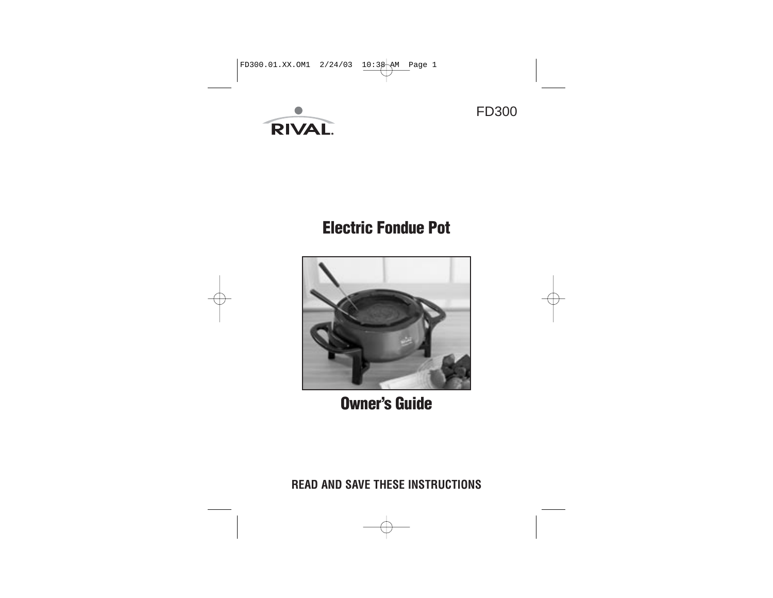

# **Electric Fondue Pot**





**Owner's Guide**

**READ AND SAVE THESE INSTRUCTIONS**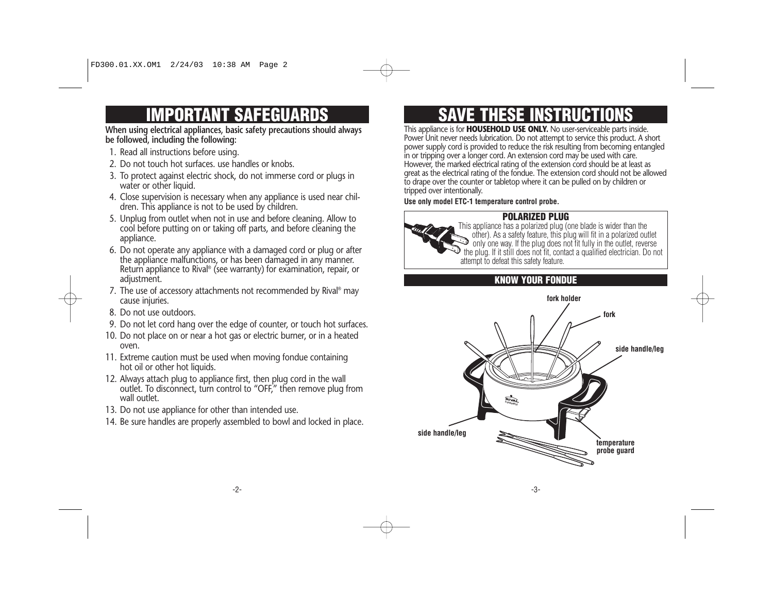# **SAFEGUARDS**

# **When using electrical appliances, basic safety precautions should always be followed, including the following:**

- 1. Read all instructions before using.
- 2. Do not touch hot surfaces. use handles or knobs.
- 3. To protect against electric shock, do not immerse cord or plugs in water or other liquid.
- 4. Close supervision is necessary when any appliance is used near children. This appliance is not to be used by children.
- 5. Unplug from outlet when not in use and before cleaning. Allow to cool before putting on or taking off parts, and before cleaning the appliance.
- 6. Do not operate any appliance with a damaged cord or plug or after the appliance malfunctions, or has been damaged in any manner. Return appliance to Rival® (see warranty) for examination, repair, or adjustment.
- 7. The use of accessory attachments not recommended by Rival® may cause injuries.
- 8. Do not use outdoors.
- 9. Do not let cord hang over the edge of counter, or touch hot surfaces.
- 10. Do not place on or near a hot gas or electric burner, or in a heated oven.
- 11. Extreme caution must be used when moving fondue containing hot oil or other hot liquids.
- 12. Always attach plug to appliance first, then plug cord in the wall outlet. To disconnect, turn control to "OFF," then remove plug from wall outlet.
- 13. Do not use appliance for other than intended use.
- 14. Be sure handles are properly assembled to bowl and locked in place.

# **SAVE THESE INSTRUCTIONS**

This appliance is for **HOUSEHOLD USE ONLY.** No user-serviceable parts inside. Power Unit never needs lubrication. Do not attempt to service this product. A short power supply cord is provided to reduce the risk resulting from becoming entangled in or tripping over a longer cord. An extension cord may be used with care. However, the marked electrical rating of the extension cord should be at least as great as the electrical rating of the fondue. The extension cord should not be allowed to drape over the counter or tabletop where it can be pulled on by children or tripped over intentionally.

#### **Use only model ETC-1 temperature control probe.**

# **POLARIZED PLUG**



This appliance has a polarized plug (one blade is wider than the other). As a safety feature, this plug will fit in a polarized outlet only one way. If the plug does not fit fully in the outlet, reverse the plug. If it still does not fit, contact a qualified electrician. Do not attempt to defeat this safety feature.

# **KNOW YOUR FONDUE**

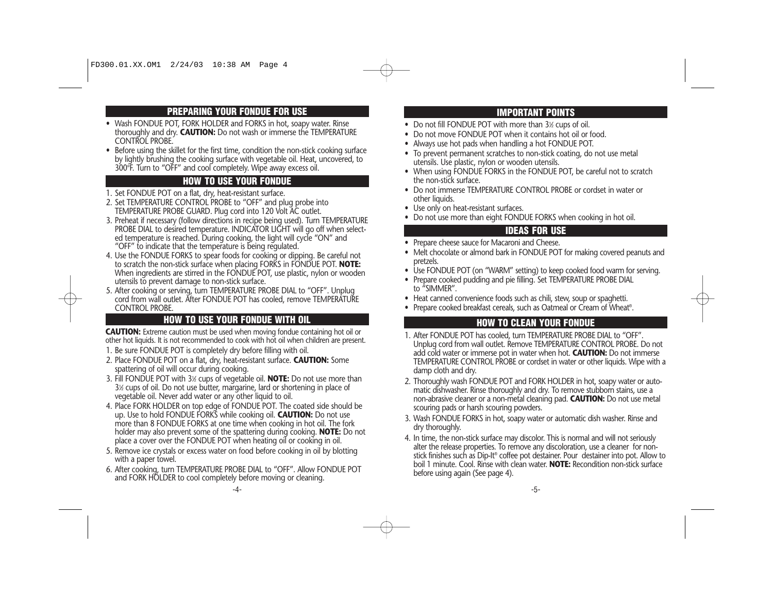# **PREPARING YOUR FONDUE FOR USE**

- Wash FONDUE POT, FORK HOLDER and FORKS in hot, soapy water. Rinse thoroughly and dry. **CAUTION:** Do not wash or immerse the TEMPERATURE CONTROL PROBE.
- Before using the skillet for the first time, condition the non-stick cooking surface by lightly brushing the cooking surface with vegetable oil. Heat, uncovered, to 300°F. Turn to "OFF" and cool completely. Wipe away excess oil.

#### **HOW TO USE YOUR FONDUE**

- 
- 1. Set FONDUE POT on a flat, dry, heat-resistant surface.<br>2. Set TEMPERATURE CONTROL PROBE to "OFF" and plug probe into TEMPERATURE PROBE GUARD. Plug cord into 120 Volt AC outlet.
- 3. Preheat if necessary (follow directions in recipe being used). Turn TEMPERATURE ed temperature is reached. During cooking, the light will cycle "ON" and "OFF" to indicate that the temperature is being regulated.<br>4. Use the FONDUE FORKS to spear foods for cooking or dipping. Be careful not
- to scratch the non-stick surface when placing FORKS in FONDUE POT. **NOTE:**<br>When ingredients are stirred in the FONDUE POT, use plastic, nylon or wooden<br>utensils to prevent damage to non-stick surface.<br>5. After cooking or s
- cord from wall outlet. After FONDUE POT has cooled, remove TEMPERATURE CONTROL PROBE.

# **HOW TO USE YOUR FONDUE WITH OIL HOW TO CLEAN YOUR FONDUE**

**CAUTION:** Extreme caution must be used when moving fondue containing hot oil or other hot liquids. It is not recommended to cook with hot oil when children are present. 1. Be sure FONDUE POT is completely dry before filling with oil.

- 2. Place FONDUE POT on a flat, dry, heat-resistant surface. **CAUTION:** Some spattering of oil will occur during cooking.
- 3. Fill FONDUE POT with 31 ⁄2 cups of vegetable oil. **NOTE:** Do not use more than 31 ⁄2 cups of oil. Do not use butter, margarine, lard or shortening in place of vegetable oil. Never add water or any other liquid to oil.
- 4. Place FORK HOLDER on top edge of FONDUE POT. The coated side should be up. Use to hold FONDUE FORKS while cooking oil. **CAUTION:** Do not use more than 8 FONDUE FORKS at one time when cooking in hot oil. The fork holder may also prevent some of the spattering during cooking. **NOTE:** Do not place a cover over the FONDUE POT when heating oil or cooking in oil.
- 5. Remove ice crystals or excess water on food before cooking in oil by blotting with a paper towel.
- 6. After cooking, turn TEMPERATURE PROBE DIAL to "OFF". Allow FONDUE POT and FORK HOLDER to cool completely before moving or cleaning.

# **IMPORTANT POINTS**

- Do not fill FONDUE POT with more than 3½ cups of oil.
- Do not move FONDUE POT when it contains hot oil or food.
- Always use hot pads when handling a hot FONDUE POT.
- To prevent permanent scratches to non-stick coating, do not use metal utensils. Use plastic, nylon or wooden utensils.
- When using FONDUE FORKS in the FONDUE POT, be careful not to scratch the non-stick surface.
- Do not immerse TEMPERATURE CONTROL PROBE or cordset in water or other liquids.
- Use only on heat-resistant surfaces.
- Do not use more than eight FONDUE FORKS when cooking in hot oil.

## **IDEAS FOR USE**

- Prepare cheese sauce for Macaroni and Cheese.
- Melt chocolate or almond bark in FONDUE POT for making covered peanuts and pretzels.
- Use FONDUE POT (on "WARM" setting) to keep cooked food warm for serving.
- Prepare cooked pudding and pie filling. Set TEMPERATURE PROBE DIAL to "SIMMER".
- Heat canned convenience foods such as chili, stew, soup or spaghetti.
- Prepare cooked breakfast cereals, such as Oatmeal or Cream of Wheat®.

- 1. After FONDUE POT has cooled, turn TEMPERATURE PROBE DIAL to "OFF". Unplug cord from wall outlet. Remove TEMPERATURE CONTROL PROBE. Do not add cold water or immerse pot in water when hot. **CAUTION:** Do not immerse TEMPERATURE CONTROL PROBE or cordset in water or other liquids. Wipe with a damp cloth and dry.
- 2. Thoroughly wash FONDUE POT and FORK HOLDER in hot, soapy water or automatic dishwasher. Rinse thoroughly and dry. To remove stubborn stains, use a non-abrasive cleaner or a non-metal cleaning pad. **CAUTION:** Do not use metal scouring pads or harsh scouring powders.
- 3. Wash FONDUE FORKS in hot, soapy water or automatic dish washer. Rinse and dry thoroughly.
- 4. In time, the non-stick surface may discolor. This is normal and will not seriously alter the release properties. To remove any discoloration, use a cleaner for nonstick finishes such as Dip-It® coffee pot destainer. Pour destainer into pot. Allow to boil 1 minute. Cool. Rinse with clean water. **NOTE:** Recondition non-stick surface before using again (See page 4).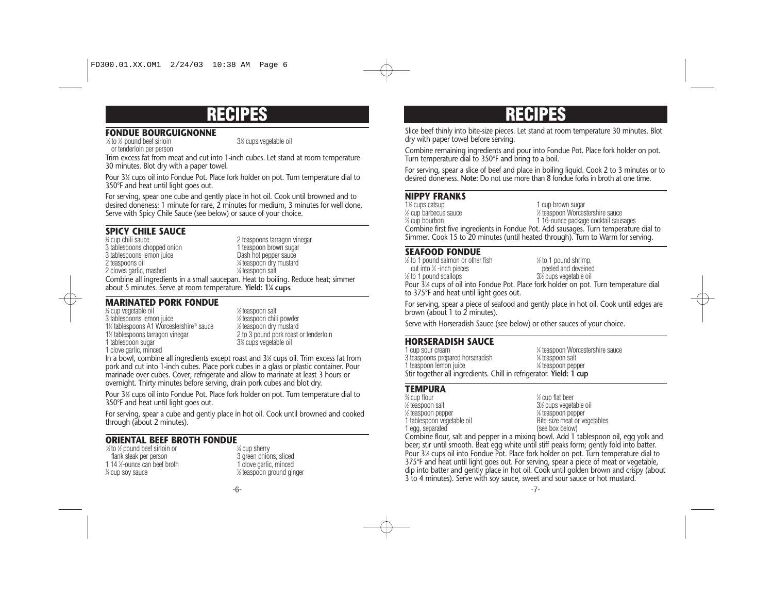#### **FONDUE BOURGUIGNONNE**

1 ⁄3 to 1 ⁄2 pound beef sirloin 31 ⁄2 cups vegetable oil

or tenderloin per person

Trim excess fat from meat and cut into 1-inch cubes. Let stand at room temperature 30 minutes. Blot dry with a paper towel.

Pour 31 ⁄2 cups oil into Fondue Pot. Place fork holder on pot. Turn temperature dial to 350°F and heat until light goes out.

For serving, spear one cube and gently place in hot oil. Cook until browned and to desired doneness: 1 minute for rare, 2 minutes for medium, 3 minutes for well done. Serve with Spicy Chile Sauce (see below) or sauce of your choice.

### **SPICY CHILE SAUCE**

% cup chili sauce 2 teaspoons tarragon vinegar<br>1 teaspoon brown sugar 3 tablespoons chopped onion 1 teaspoon brown sugared as the state of the 1 teaspoon brown sugared 3 tables 3 tablespoons lemon juice 2 teaspoons oil <sup>1</sup> ⁄4 teaspoon dry mustard 2 cloves garlic, mashed <sup>1</sup> ⁄4 teaspoon salt Combine all ingredients in a small saucepan. Heat to boiling. Reduce heat; simmer about 5 minutes. Serve at room temperature. **Yield: 11 ⁄4 cups**

#### **MARINATED PORK FONDUE**

3 ⁄4 cup vegetable oil <sup>1</sup> 3 tablespoons lemon juice <sup>1</sup> 11 ⁄2 tablespoons A1 Worcestershire® sauce <sup>1</sup> 1½ tablespoons tarragon vinegar 1 tablespoon sugar 1 clove garlic, minced

⁄2 teaspoon salt ⁄2 teaspoon chili powder ⁄2 teaspoon dry mustard 2 to 3 pound pork roast or tenderloin ⁄2 cups vegetable oil

In a bowl, combine all ingredients except roast and 31 ⁄2 cups oil. Trim excess fat from pork and cut into 1-inch cubes. Place pork cubes in a glass or plastic container. Pour marinade over cubes. Cover; refrigerate and allow to marinate at least 3 hours or overnight. Thirty minutes before serving, drain pork cubes and blot dry.

Pour 31 ⁄2 cups oil into Fondue Pot. Place fork holder on pot. Turn temperature dial to 350°F and heat until light goes out.

For serving, spear a cube and gently place in hot oil. Cook until browned and cooked through (about 2 minutes).

#### **ORIENTAL BEEF BROTH FONDUE**

1 ⁄3 to 1 ⁄2 pound beef sirloin or 1 flank steak per person flank steak per person 3 green onions, sliced<br>14 %-ounce can beef broth 1 clove garlic. minced 1 14 %-ounce can beef broth 1 clove garlic, minced  $\frac{1}{4}$  cup soy sauce 1

⁄4 cup sherry ⁄2 teaspoon ground ginger

# **RECIPES RECIPES**

Slice beef thinly into bite-size pieces. Let stand at room temperature 30 minutes. Blot dry with paper towel before serving.

Combine remaining ingredients and pour into Fondue Pot. Place fork holder on pot. Turn temperature dial to 350°F and bring to a boil.

For serving, spear a slice of beef and place in boiling liquid. Cook 2 to 3 minutes or to desired doneness. **Note:** Do not use more than 8 fondue forks in broth at one time.

# **NIPPY FRANKS**

1<sup>1</sup>/<sub>2</sub> cups catsup 1 cup brown sugar 1 ⁄2 cup barbecue sauce <sup>1</sup> ⁄2 teaspoon Worcestershire sauce % cup bourbon 1 16-ounce package cocktail sausages Combine first five ingredients in Fondue Pot. Add sausages. Turn temperature dial to Simmer. Cook 15 to 20 minutes (until heated through). Turn to Warm for serving.

#### **SEAFOOD FONDUE**

1 ⁄2 to 1 pound salmon or other fish 1  $\frac{1}{2}$  to 1 pound shrimp, cut into 34 -inch pieces peeled and deveined  $\frac{1}{2}$  to 1 pound scallops  $\frac{3}{2}$ ⁄2 cups vegetable oil Pour 31 ⁄2 cups of oil into Fondue Pot. Place fork holder on pot. Turn temperature dial to 375°F and heat until light goes out.

For serving, spear a piece of seafood and gently place in hot oil. Cook until edges are brown (about 1 to 2 minutes).

Serve with Horseradish Sauce (see below) or other sauces of your choice.

#### **HORSERADISH SAUCE**

| 1 cup sour cream                                                   | 1⁄4 teaspoon Worcestershire sauce |
|--------------------------------------------------------------------|-----------------------------------|
| 3 teaspoons prepared horseradish                                   | % teaspoon salt                   |
| 1 teaspoon lemon juice                                             | % teaspoon pepper                 |
| Stir together all ingredients. Chill in refrigerator. Yield: 1 cup |                                   |
|                                                                    |                                   |

## **TEMPURA**

 ⁄4 cup flour <sup>1</sup> ⁄2 teaspoon salt 31 ⁄2 teaspoon pepper <sup>1</sup> egg, separated

⁄2 cup flat beer ⁄2 cups vegetable oil ⁄8 teaspoon pepper 1 tablespoon vegetable oil<br>
1 egg, separated<br>
1 egg, separated<br>  $(see box below)$ 

Combine flour, salt and pepper in a mixing bowl. Add 1 tablespoon oil, egg yolk and beer; stir until smooth. Beat egg white until stiff peaks form; gently fold into batter. Pour 31 ⁄2 cups oil into Fondue Pot. Place fork holder on pot. Turn temperature dial to 375°F and heat until light goes out. For serving, spear a piece of meat or vegetable, dip into batter and gently place in hot oil. Cook until golden brown and crispy (about 3 to 4 minutes). Serve with soy sauce, sweet and sour sauce or hot mustard.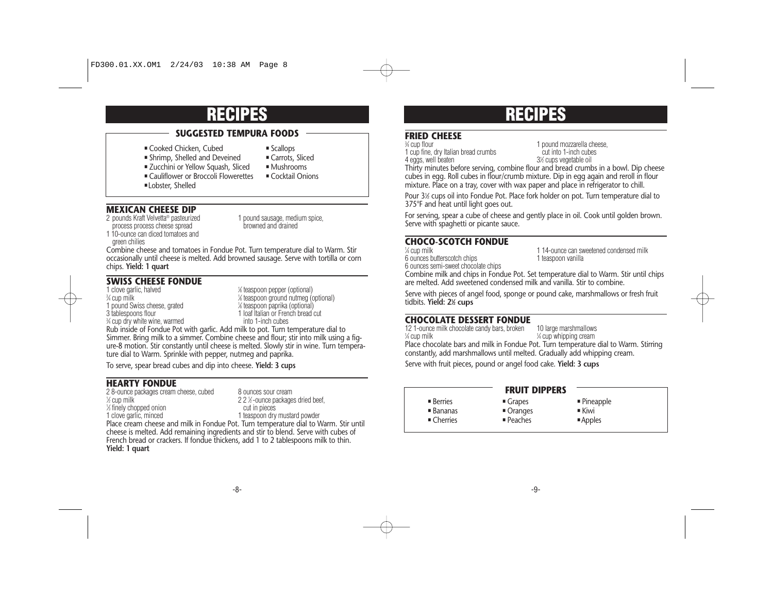# **SUGGESTED TEMPURA FOODS**

- Cooked Chicken, Cubed → Scallops<br>■ Shrimp, Shelled and Deveined → Carrots, Sliced
- Shrimp, Shelled and Deveined
	-
- Zucchini or Yellow Squash, Sliced Mushrooms<br>■ Cauliflower or Broccoli Flowerettes Cocktail Onions Gauliflower or Broccoli Flowerettes
- **Lobster, Shelled**

#### **MEXICAN CHEESE DIP**

- 
- process process cheese spread 1 10-ounce can diced tomatoes and

2 pounds Kraft Velvetta® pasteurized 1 pound sausage, medium spice,<br>process process cheese spread 1 browned and drained

green chilies

Combine cheese and tomatoes in Fondue Pot. Turn temperature dial to Warm. Stir occasionally until cheese is melted. Add browned sausage. Serve with tortilla or corn chips. **Yield: 1 quart**

#### **SWISS CHEESE FONDUE**

1 pound Swiss cheese, grated  $\frac{1}{8}$  teaspoon paprika (optional)<br>1 loaf Italian or French bread c 3⁄4 cup dry white wine, warmed

1 clove garlic, halved  $\frac{1}{8}$  teaspoon pepper (optional) % cup milk 1/8 teaspoon ground nutmeg (optional)<br>1/8 teaspoon paprika (optional) 4/8 teaspoon paprika (optional) 1 loaf Italian or French bread cut<br>into 1-inch cubes

Rub inside of Fondue Pot with garlic. Add milk to pot. Turn temperature dial to Simmer. Bring milk to a simmer. Combine cheese and flour; stir into milk using a figure-8 motion. Stir constantly until cheese is melted. Slowly stir in wine. Turn temperature dial to Warm. Sprinkle with pepper, nutmeg and paprika.

To serve, spear bread cubes and dip into cheese. **Yield: 3 cups**

### **HEARTY FONDUE**

2 8-ounce packages cream cheese, cubed 8 ounces sour cream<br>  $\frac{1}{2}$  cup milk<br>
2 2  $\frac{1}{2}$ -ounce packages  $\frac{1}{3}$  finely chopped onion 1 clove garlic, minced

2  $2$   $%$ -ounce packages dried beef,<br>cut in pieces 1 teaspoon dry mustard powder

Place cream cheese and milk in Fondue Pot. Turn temperature dial to Warm. Stir until cheese is melted. Add remaining ingredients and stir to blend. Serve with cubes of French bread or crackers. If fondue thickens, add 1 to 2 tablespoons milk to thin. **Yield: 1 quart**

# **RECIPES RECIPES**

# **FRIED CHEESE**

1 cup fine, dry Italian bread crumbs<br>
4 eggs, well beaten<br>
2% cups vegetable oil

<sup>3⁄4</sup> cup flour 1 pound mozzarella cheese. 3½ cups vegetable oil

Thirty minutes before serving, combine flour and bread crumbs in a bowl. Dip cheese cubes in egg. Roll cubes in flour/crumb mixture. Dip in egg again and reroll in flour mixture. Place on a tray, cover with wax paper and place in refrigerator to chill.

Pour 3½ cups oil into Fondue Pot. Place fork holder on pot. Turn temperature dial to 375°F and heat until light goes out.

For serving, spear a cube of cheese and gently place in oil. Cook until golden brown. Serve with spaghetti or picante sauce.

### **CHOCO-SCOTCH FONDUE**

6 ounces butterscotch chips 6 ounces semi-sweet chocolate chips

<sup>1⁄4</sup> cup milk 11<sup>4</sup>-ounce can sweetened condensed milk<br>1 teaspoon vanilla

Combine milk and chips in Fondue Pot. Set temperature dial to Warm. Stir until chips are melted. Add sweetened condensed milk and vanilla. Stir to combine.

Serve with pieces of angel food, sponge or pound cake, marshmallows or fresh fruit tidbits. **Yield: 21⁄2 cups**

#### **CHOCOLATE DESSERT FONDUE**

12 1-ounce milk chocolate candy bars, broken 10 large marshmallows<br>
4 cup milk chocolate candy bars, broken 4 cup whipping cream  $\frac{1}{4}$  cup whipping cream Place chocolate bars and milk in Fondue Pot. Turn temperature dial to Warm. Stirring constantly, add marshmallows until melted. Gradually add whipping cream. Serve with fruit pieces, pound or angel food cake. **Yield: 3 cups**

 $\blacksquare$  Berries ■ Bananas  $\blacksquare$  Cherries  $\blacksquare$  Grapes ■ Oranges  $P$ eaches • Pineapple  $\blacksquare$  Kiwi ■Apples **FRUIT DIPPERS**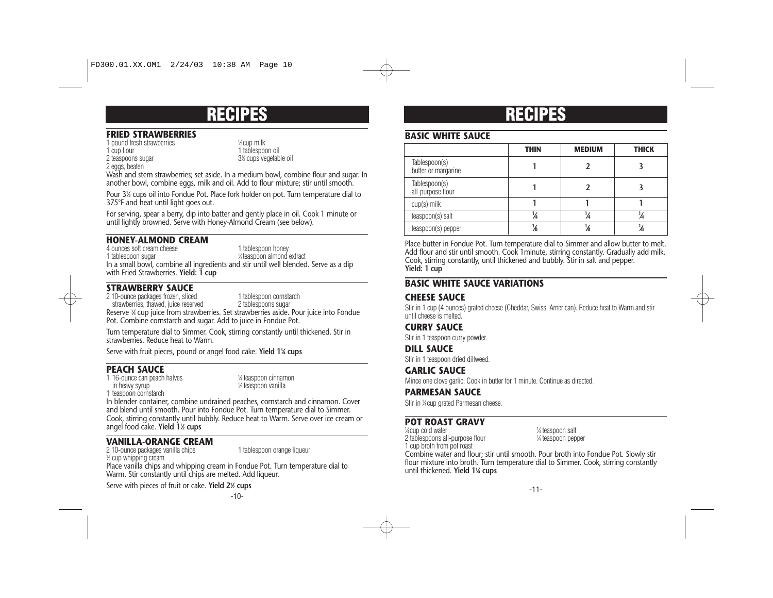#### **FRIED STRAWBERRIES**

1 pound fresh strawberries <sup>1</sup>

2 teaspoons sugar

2 eggs, beaten

⁄2 cup milk 1 tablespoon oil ⁄2 cups vegetable oil

Wash and stem strawberries; set aside. In a medium bowl, combine flour and sugar. In another bowl, combine eggs, milk and oil. Add to flour mixture; stir until smooth.

Pour 31 ⁄2 cups oil into Fondue Pot. Place fork holder on pot. Turn temperature dial to 375°F and heat until light goes out.

For serving, spear a berry, dip into batter and gently place in oil. Cook 1 minute or until lightly browned. Serve with Honey-Almond Cream (see below).

### **HONEY-ALMOND CREAM**

4 ounces soft cream cheese 1 tablespoon honey 1 tablespoon sugar <sup>1</sup> ⁄8 teaspoon almond extract In a small bowl, combine all ingredients and stir until well blended. Serve as a dip with Fried Strawberries. **Yield: 1 cup**

## **STRAWBERRY SAUCE**

2 10-ounce packages frozen, sliced<br>
strawberries, thawed, juice reserved<br>
2 tablespoons sugar<br>
2 tablespoons sugar

strawberries, thawed, juice reserved Reserve 3 ⁄4 cup juice from strawberries. Set strawberries aside. Pour juice into Fondue Pot. Combine cornstarch and sugar. Add to juice in Fondue Pot.

Turn temperature dial to Simmer. Cook, stirring constantly until thickened. Stir in strawberries. Reduce heat to Warm.

Serve with fruit pieces, pound or angel food cake. **Yield 13 ⁄4 cups**

### **PEACH SAUCE**

1 16-ounce can peach halves in heavy syrup

⁄4 teaspoon cinnamon ⁄2 teaspoon vanilla

1 teaspoon cornstarch

In blender container, combine undrained peaches, cornstarch and cinnamon. Cover and blend until smooth. Pour into Fondue Pot. Turn temperature dial to Simmer. Cook, stirring constantly until bubbly. Reduce heat to Warm. Serve over ice cream or angel food cake. **Yield 11 ⁄2 cups**

## **VANILLA-ORANGE CREAM**

2 10-ounce packages vanilla chips 1 tablespoon orange liqueur 1 ⁄2 cup whipping cream

Place vanilla chips and whipping cream in Fondue Pot. Turn temperature dial to Warm. Stir constantly until chips are melted. Add liqueur.

Serve with pieces of fruit or cake. **Yield 21 ⁄2 cups**

-10-

# **RECIPES RECIPES**

## **BASIC WHITE SAUCE**

|                                      | <b>THIN</b> | <b>MEDIUM</b> | <b>THICK</b> |
|--------------------------------------|-------------|---------------|--------------|
| Tablespoon(s)<br>butter or margarine |             |               |              |
| Tablespoon(s)<br>all-purpose flour   |             |               |              |
| $cup(s)$ milk                        |             |               |              |
| teaspoon(s) salt                     | ¼           | ¼             | 14           |
| teaspoon(s) pepper                   |             | 16            |              |

Place butter in Fondue Pot. Turn temperature dial to Simmer and allow butter to melt. Add flour and stir until smooth. Cook 1 minute, stirring constantly. Gradually add milk. Cook, stirring constantly, until thickened and bubbly. Stir in salt and pepper. **Yield: 1 cup**

### **BASIC WHITE SAUCE VARIATIONS**

# **CHEESE SAUCE**

Stir in 1 cup (4 ounces) grated cheese (Cheddar, Swiss, American). Reduce heat to Warm and stir until cheese is melted.

### **CURRY SAUCE**

Stir in 1 teaspoon curry powder.

#### **DILL SAUCE**

Stir in 1 teaspoon dried dillweed.

#### **GARLIC SAUCE**

Mince one clove garlic. Cook in butter for 1 minute. Continue as directed.

#### **PARMESAN SAUCE**

Stir in 1 ⁄4 cup grated Parmesan cheese.

#### **POT ROAST GRAVY**

<sup>1/4</sup> cup cold water 1 2 tablespoons all-purpose flour <sup>1</sup> 1 cup broth from pot roast

⁄4 teaspoon salt ⁄4 teaspoon pepper

Combine water and flour; stir until smooth. Pour broth into Fondue Pot. Slowly stir flour mixture into broth. Turn temperature dial to Simmer. Cook, stirring constantly until thickened. **Yield 11 ⁄4 cups**